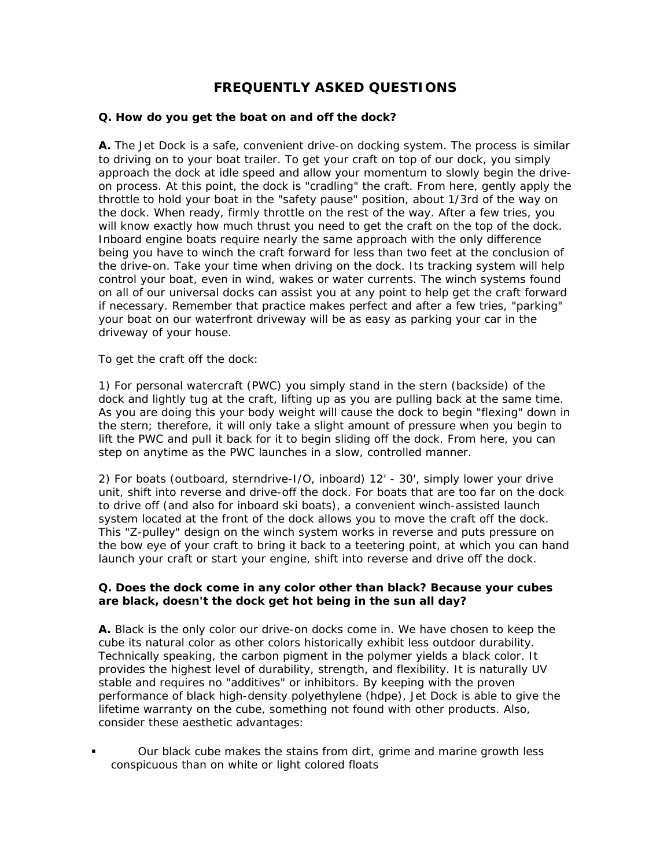# **FREQUENTLY ASKED QUESTIONS**

### **Q.** *How do you get the boat on and off the dock?*

**A.** The Jet Dock is a safe, convenient drive-on docking system. The process is similar to driving on to your boat trailer. To get your craft on top of our dock, you simply approach the dock at idle speed and allow your momentum to slowly begin the driveon process. At this point, the dock is "cradling" the craft. From here, gently apply the throttle to hold your boat in the "safety pause" position, about 1/3rd of the way on the dock. When ready, firmly throttle on the rest of the way. After a few tries, you will know exactly how much thrust you need to get the craft on the top of the dock. Inboard engine boats require nearly the same approach with the only difference being you have to winch the craft forward for less than two feet at the conclusion of the drive-on. Take your time when driving on the dock. Its tracking system will help control your boat, even in wind, wakes or water currents. The winch systems found on all of our universal docks can assist you at any point to help get the craft forward if necessary. Remember that practice makes perfect and after a few tries, "parking" your boat on our waterfront driveway will be as easy as parking your car in the driveway of your house.

To get the craft off the dock:

1) For personal watercraft (PWC) you simply stand in the stern (backside) of the dock and lightly tug at the craft, lifting up as you are pulling back at the same time. As you are doing this your body weight will cause the dock to begin "flexing" down in the stern; therefore, it will only take a slight amount of pressure when you begin to lift the PWC and pull it back for it to begin sliding off the dock. From here, you can step on anytime as the PWC launches in a slow, controlled manner.

2) For boats (outboard, sterndrive-I/O, inboard) 12' - 30', simply lower your drive unit, shift into reverse and drive-off the dock. For boats that are too far on the dock to drive off (and also for inboard ski boats), a convenient winch-assisted launch system located at the front of the dock allows you to move the craft off the dock. This "Z-pulley" design on the winch system works in reverse and puts pressure on the bow eye of your craft to bring it back to a teetering point, at which you can hand launch your craft or start your engine, shift into reverse and drive off the dock.

#### **Q.** *Does the dock come in any color other than black? Because your cubes are black, doesn't the dock get hot being in the sun all day?*

**A.** Black is the only color our drive-on docks come in. We have chosen to keep the cube its natural color as other colors historically exhibit less outdoor durability. Technically speaking, the carbon pigment in the polymer yields a black color. It provides the highest level of durability, strength, and flexibility. It is naturally UV stable and requires no "additives" or inhibitors. By keeping with the proven performance of black high-density polyethylene (hdpe), Jet Dock is able to give the lifetime warranty on the cube, something not found with other products. Also, consider these aesthetic advantages:

 Our black cube makes the stains from dirt, grime and marine growth less conspicuous than on white or light colored floats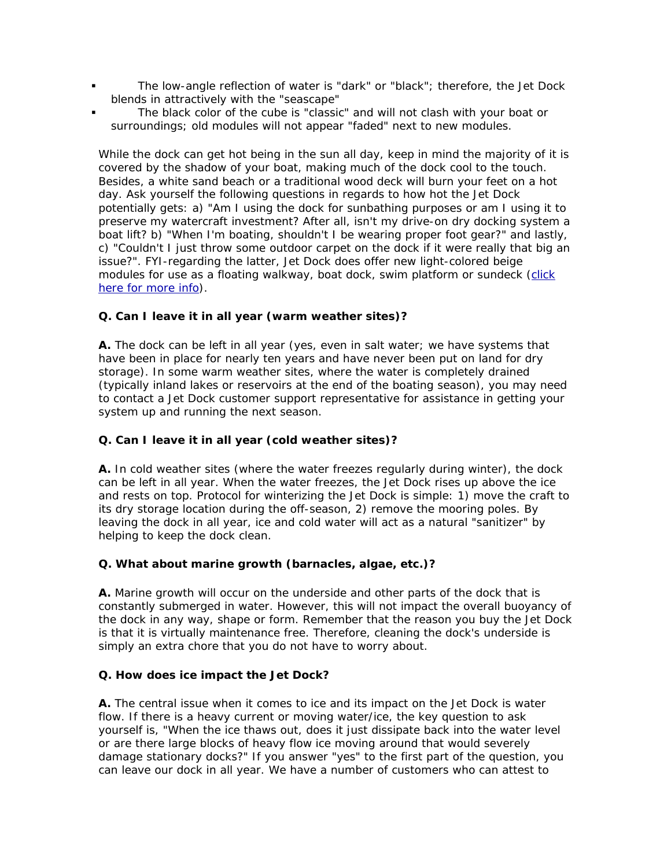- The low-angle reflection of water is "dark" or "black"; therefore, the Jet Dock blends in attractively with the "seascape"
- The black color of the cube is "classic" and will not clash with your boat or surroundings; old modules will not appear "faded" next to new modules.

While the dock can get hot being in the sun all day, keep in mind the majority of it is covered by the shadow of your boat, making much of the dock cool to the touch. Besides, a white sand beach or a traditional wood deck will burn your feet on a hot day. Ask yourself the following questions in regards to how hot the Jet Dock potentially gets: a) "Am I using the dock for sunbathing purposes or am I using it to preserve my watercraft investment? After all, isn't my drive-on dry docking system a boat lift? b) "When I'm boating, shouldn't I be wearing proper foot gear?" and lastly, c) "Couldn't I just throw some outdoor carpet on the dock if it were really that big an issue?". FYI-regarding the latter, Jet Dock does offer new light-colored beige modules for use as a floating walkway, boat dock, swim platform or sundeck [\(click](http://www.jetdock.com/pages/walkway.asp)  [here for more info\)](http://www.jetdock.com/pages/walkway.asp).

# **Q.** *Can I leave it in all year (warm weather sites)?*

**A.** The dock can be left in all year (yes, even in salt water; we have systems that have been in place for nearly ten years and have never been put on land for dry storage). In some warm weather sites, where the water is completely drained (typically inland lakes or reservoirs at the end of the boating season), you may need to contact a Jet Dock customer support representative for assistance in getting your system up and running the next season.

# **Q.** *Can I leave it in all year (cold weather sites)?*

**A.** In cold weather sites (where the water freezes regularly during winter), the dock can be left in all year. When the water freezes, the Jet Dock rises up above the ice and rests on top. Protocol for winterizing the Jet Dock is simple: 1) move the craft to its dry storage location during the off-season, 2) remove the mooring poles. By leaving the dock in all year, ice and cold water will act as a natural "sanitizer" by helping to keep the dock clean.

# **Q.** *What about marine growth (barnacles, algae, etc.)?*

**A.** Marine growth will occur on the underside and other parts of the dock that is constantly submerged in water. However, this will not impact the overall buoyancy of the dock in any way, shape or form. Remember that the reason you buy the Jet Dock is that it is virtually maintenance free. Therefore, cleaning the dock's underside is simply an extra chore that you do not have to worry about.

#### **Q.** *How does ice impact the Jet Dock?*

**A.** The central issue when it comes to ice and its impact on the Jet Dock is water flow. If there is a heavy current or moving water/ice, the key question to ask yourself is, "When the ice thaws out, does it just dissipate back into the water level or are there large blocks of heavy flow ice moving around that would severely damage stationary docks?" If you answer "yes" to the first part of the question, you can leave our dock in all year. We have a number of customers who can attest to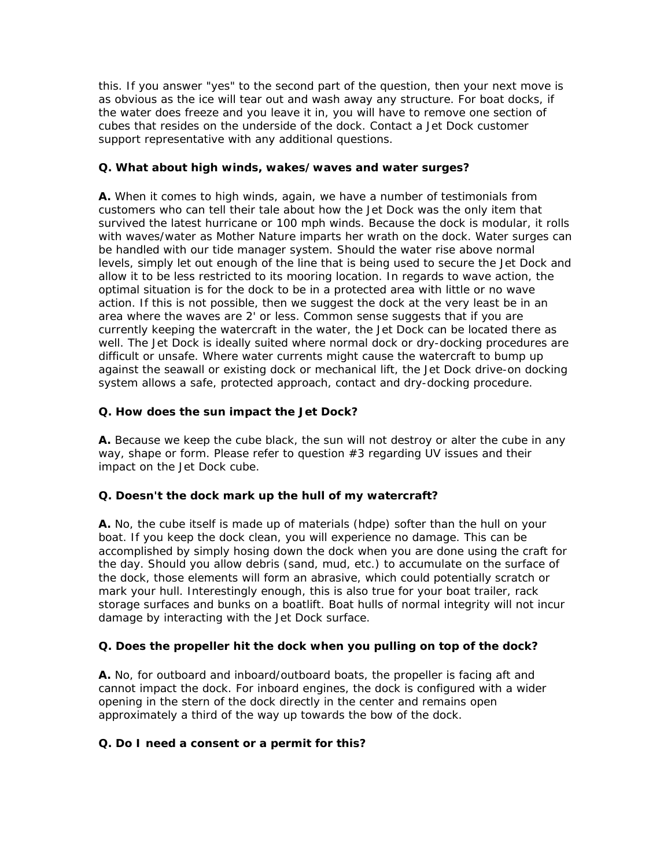this. If you answer "yes" to the second part of the question, then your next move is as obvious as the ice will tear out and wash away any structure. For boat docks, if the water does freeze and you leave it in, you will have to remove one section of cubes that resides on the underside of the dock. Contact a Jet Dock customer support representative with any additional questions.

### **Q.** *What about high winds, wakes/waves and water surges?*

**A.** When it comes to high winds, again, we have a number of testimonials from customers who can tell their tale about how the Jet Dock was the only item that survived the latest hurricane or 100 mph winds. Because the dock is modular, it rolls with waves/water as Mother Nature imparts her wrath on the dock. Water surges can be handled with our tide manager system. Should the water rise above normal levels, simply let out enough of the line that is being used to secure the Jet Dock and allow it to be less restricted to its mooring location. In regards to wave action, the optimal situation is for the dock to be in a protected area with little or no wave action. If this is not possible, then we suggest the dock at the very least be in an area where the waves are 2' or less. Common sense suggests that if you are currently keeping the watercraft in the water, the Jet Dock can be located there as well. The Jet Dock is ideally suited where normal dock or dry-docking procedures are difficult or unsafe. Where water currents might cause the watercraft to bump up against the seawall or existing dock or mechanical lift, the Jet Dock drive-on docking system allows a safe, protected approach, contact and dry-docking procedure.

# **Q.** *How does the sun impact the Jet Dock?*

**A.** Because we keep the cube black, the sun will not destroy or alter the cube in any way, shape or form. Please refer to question #3 regarding UV issues and their impact on the Jet Dock cube.

# **Q. Doesn't the dock mark up the hull of my watercraft?**

**A.** No, the cube itself is made up of materials (hdpe) softer than the hull on your boat. If you keep the dock clean, you will experience no damage. This can be accomplished by simply hosing down the dock when you are done using the craft for the day. Should you allow debris (sand, mud, etc.) to accumulate on the surface of the dock, those elements will form an abrasive, which could potentially scratch or mark your hull. Interestingly enough, this is also true for your boat trailer, rack storage surfaces and bunks on a boatlift. Boat hulls of normal integrity will not incur damage by interacting with the Jet Dock surface.

# **Q.** *Does the propeller hit the dock when you pulling on top of the dock?*

**A.** No, for outboard and inboard/outboard boats, the propeller is facing aft and cannot impact the dock. For inboard engines, the dock is configured with a wider opening in the stern of the dock directly in the center and remains open approximately a third of the way up towards the bow of the dock.

# **Q.** *Do I need a consent or a permit for this?*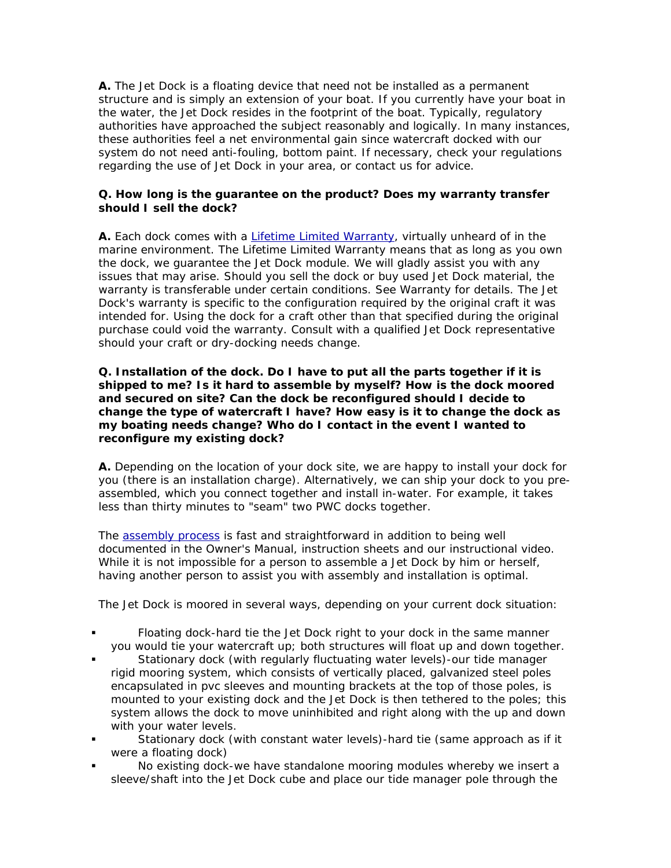**A.** The Jet Dock is a floating device that need not be installed as a permanent structure and is simply an extension of your boat. If you currently have your boat in the water, the Jet Dock resides in the footprint of the boat. Typically, regulatory authorities have approached the subject reasonably and logically. In many instances, these authorities feel a net environmental gain since watercraft docked with our system do not need anti-fouling, bottom paint. If necessary, check your regulations regarding the use of Jet Dock in your area, or contact us for advice.

# **Q.** *How long is the guarantee on the product? Does my warranty transfer should I sell the dock?*

**A.** Each dock comes with a [Lifetime Limited Warranty](http://www.jetdock.com/pages/warranty.asp), virtually unheard of in the marine environment. The Lifetime Limited Warranty means that as long as you own the dock, we guarantee the Jet Dock module. We will gladly assist you with any issues that may arise. Should you sell the dock or buy used Jet Dock material, the warranty is transferable under certain conditions. See Warranty for details. The Jet Dock's warranty is specific to the configuration required by the original craft it was intended for. Using the dock for a craft other than that specified during the original purchase could void the warranty. Consult with a qualified Jet Dock representative should your craft or dry-docking needs change.

#### **Q.** *Installation of the dock. Do I have to put all the parts together if it is shipped to me? Is it hard to assemble by myself? How is the dock moored and secured on site? Can the dock be reconfigured should I decide to change the type of watercraft I have? How easy is it to change the dock as my boating needs change? Who do I contact in the event I wanted to reconfigure my existing dock?*

**A.** Depending on the location of your dock site, we are happy to install your dock for you (there is an installation charge). Alternatively, we can ship your dock to you preassembled, which you connect together and install in-water. For example, it takes less than thirty minutes to "seam" two PWC docks together.

The [assembly process](http://www.jetdock.com/assembly/index.asp) is fast and straightforward in addition to being well documented in the Owner's Manual, instruction sheets and our instructional video. While it is not impossible for a person to assemble a Jet Dock by him or herself, having another person to assist you with assembly and installation is optimal.

The Jet Dock is moored in several ways, depending on your current dock situation:

- Floating dock-hard tie the Jet Dock right to your dock in the same manner you would tie your watercraft up; both structures will float up and down together.
- Stationary dock (with regularly fluctuating water levels)-our tide manager rigid mooring system, which consists of vertically placed, galvanized steel poles encapsulated in pvc sleeves and mounting brackets at the top of those poles, is mounted to your existing dock and the Jet Dock is then tethered to the poles; this system allows the dock to move uninhibited and right along with the up and down with your water levels.
- Stationary dock (with constant water levels)-hard tie (same approach as if it were a floating dock)
- No existing dock-we have standalone mooring modules whereby we insert a sleeve/shaft into the Jet Dock cube and place our tide manager pole through the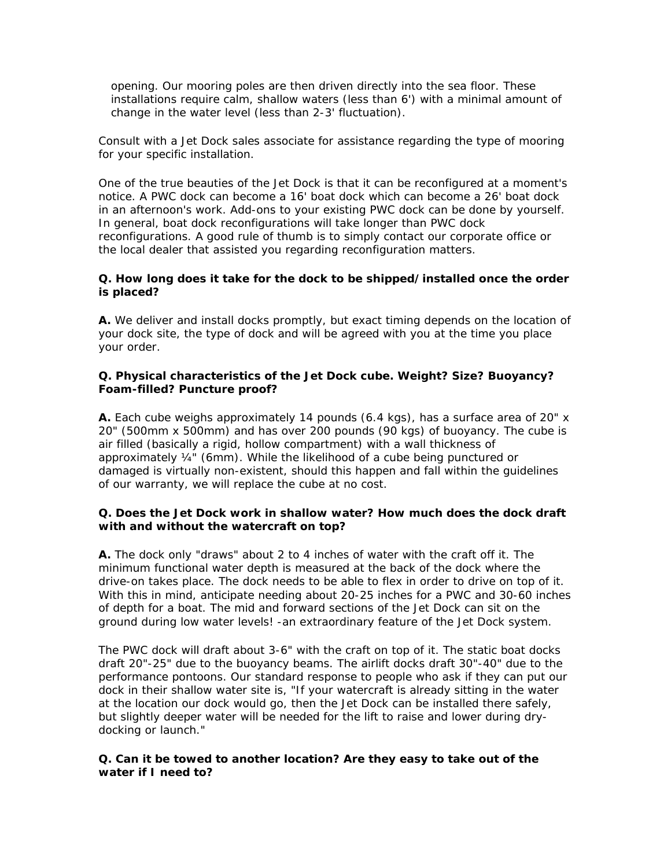opening. Our mooring poles are then driven directly into the sea floor. These installations require calm, shallow waters (less than 6') with a minimal amount of change in the water level (less than 2-3' fluctuation).

Consult with a Jet Dock sales associate for assistance regarding the type of mooring for your specific installation.

One of the true beauties of the Jet Dock is that it can be reconfigured at a moment's notice. A PWC dock can become a 16' boat dock which can become a 26' boat dock in an afternoon's work. Add-ons to your existing PWC dock can be done by yourself. In general, boat dock reconfigurations will take longer than PWC dock reconfigurations. A good rule of thumb is to simply contact our corporate office or the local dealer that assisted you regarding reconfiguration matters.

#### **Q.** *How long does it take for the dock to be shipped/installed once the order is placed?*

**A.** We deliver and install docks promptly, but exact timing depends on the location of your dock site, the type of dock and will be agreed with you at the time you place your order.

# **Q.** *Physical characteristics of the Jet Dock cube. Weight? Size? Buoyancy? Foam-filled? Puncture proof?*

**A.** Each cube weighs approximately 14 pounds (6.4 kgs), has a surface area of 20" x 20" (500mm x 500mm) and has over 200 pounds (90 kgs) of buoyancy. The cube is air filled (basically a rigid, hollow compartment) with a wall thickness of approximately ¼" (6mm). While the likelihood of a cube being punctured or damaged is virtually non-existent, should this happen and fall within the guidelines of our warranty, we will replace the cube at no cost.

#### **Q.** *Does the Jet Dock work in shallow water? How much does the dock draft with and without the watercraft on top?*

**A.** The dock only "draws" about 2 to 4 inches of water with the craft off it. The minimum functional water depth is measured at the back of the dock where the drive-on takes place. The dock needs to be able to flex in order to drive on top of it. With this in mind, anticipate needing about 20-25 inches for a PWC and 30-60 inches of depth for a boat. The mid and forward sections of the Jet Dock can sit on the ground during low water levels! -an extraordinary feature of the Jet Dock system.

The PWC dock will draft about 3-6" with the craft on top of it. The static boat docks draft 20"-25" due to the buoyancy beams. The airlift docks draft 30"-40" due to the performance pontoons. Our standard response to people who ask if they can put our dock in their shallow water site is, "If your watercraft is already sitting in the water at the location our dock would go, then the Jet Dock can be installed there safely, but slightly deeper water will be needed for the lift to raise and lower during drydocking or launch."

# **Q.** *Can it be towed to another location? Are they easy to take out of the water if I need to?*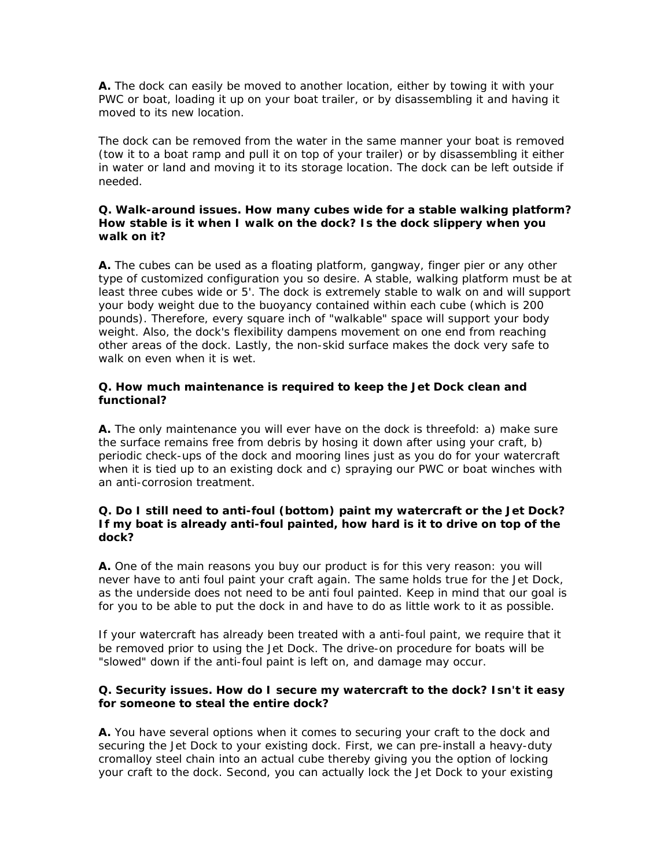**A.** The dock can easily be moved to another location, either by towing it with your PWC or boat, loading it up on your boat trailer, or by disassembling it and having it moved to its new location.

The dock can be removed from the water in the same manner your boat is removed (tow it to a boat ramp and pull it on top of your trailer) or by disassembling it either in water or land and moving it to its storage location. The dock can be left outside if needed.

#### **Q.** *Walk-around issues. How many cubes wide for a stable walking platform? How stable is it when I walk on the dock? Is the dock slippery when you walk on it?*

**A.** The cubes can be used as a floating platform, gangway, finger pier or any other type of customized configuration you so desire. A stable, walking platform must be at least three cubes wide or 5'. The dock is extremely stable to walk on and will support your body weight due to the buoyancy contained within each cube (which is 200 pounds). Therefore, every square inch of "walkable" space will support your body weight. Also, the dock's flexibility dampens movement on one end from reaching other areas of the dock. Lastly, the non-skid surface makes the dock very safe to walk on even when it is wet.

### **Q.** *How much maintenance is required to keep the Jet Dock clean and functional?*

**A.** The only maintenance you will ever have on the dock is threefold: a) make sure the surface remains free from debris by hosing it down after using your craft, b) periodic check-ups of the dock and mooring lines just as you do for your watercraft when it is tied up to an existing dock and c) spraying our PWC or boat winches with an anti-corrosion treatment.

#### **Q.** *Do I still need to anti-foul (bottom) paint my watercraft or the Jet Dock? If my boat is already anti-foul painted, how hard is it to drive on top of the dock?*

**A.** One of the main reasons you buy our product is for this very reason: you will never have to anti foul paint your craft again. The same holds true for the Jet Dock, as the underside does not need to be anti foul painted. Keep in mind that our goal is for you to be able to put the dock in and have to do as little work to it as possible.

If your watercraft has already been treated with a anti-foul paint, we require that it be removed prior to using the Jet Dock. The drive-on procedure for boats will be "slowed" down if the anti-foul paint is left on, and damage may occur.

# **Q.** *Security issues. How do I secure my watercraft to the dock? Isn't it easy for someone to steal the entire dock?*

**A.** You have several options when it comes to securing your craft to the dock and securing the Jet Dock to your existing dock. First, we can pre-install a heavy-duty cromalloy steel chain into an actual cube thereby giving you the option of locking your craft to the dock. Second, you can actually lock the Jet Dock to your existing